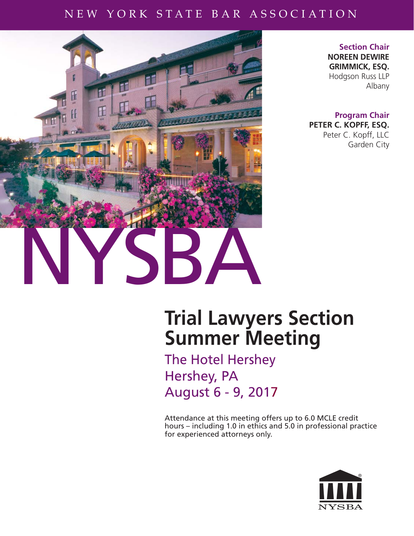### NEW YORK STATE BAR ASSOCIATION NEW YORK STATE BAR ASSOCIATION



**Section Chair NOREEN DEWIRE GRIMMICK, ESQ.** Hodgson Russ LLP Albany

**Program Chair PETER C. KOPFF, ESQ.** Peter C. Kopff, LLC Garden City

# **Trial Lawyers Section Summer Meeting**

The Hotel Hershey Hershey, PA August 6 - 9, 2017

Attendance at this meeting offers up to 6.0 MCLE credit hours – including 1.0 in ethics and 5.0 in professional practice for experienced attorneys only.

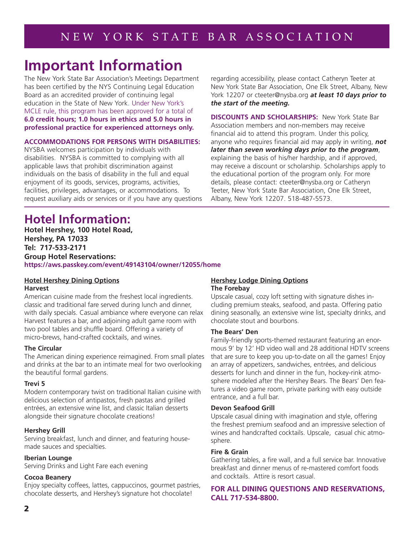## **Important Information**

The New York State Bar Association's Meetings Department has been certified by the NYS Continuing Legal Education Board as an accredited provider of continuing legal education in the State of New York. Under New York's MCLE rule, this program has been approved for a total of **6.0 credit hours; 1.0 hours in ethics and 5.0 hours in professional practice for experienced attorneys only.** 

#### **ACCOMMODATIONS FOR PERSONS WITH DISABILITIES:**

NYSBA welcomes participation by individuals with disabilities. NYSBA is committed to complying with all applicable laws that prohibit discrimination against individuals on the basis of disability in the full and equal enjoyment of its goods, services, programs, activities, facilities, privileges, advantages, or accommodations. To request auxiliary aids or services or if you have any questions regarding accessibility, please contact Catheryn Teeter at New York State Bar Association, One Elk Street, Albany, New York 12207 or cteeter@nysba.org *at least 10 days prior to the start of the meeting.*

**DISCOUNTS AND SCHOLARSHIPS:** New York State Bar Association members and non-members may receive financial aid to attend this program. Under this policy, anyone who requires financial aid may apply in writing, *not later than seven working days prior to the program*, explaining the basis of his/her hardship, and if approved, may receive a discount or scholarship. Scholarships apply to the educational portion of the program only. For more details, please contact: cteeter@nysba.org or Catheryn Teeter, New York State Bar Association, One Elk Street, Albany, New York 12207. 518-487-5573.

### **Hotel Information:**

**Hotel Hershey, 100 Hotel Road, Hershey, PA 17033 Tel: 717-533-2171 Group Hotel Reservations: https://aws.passkey.com/event/49143104/owner/12055/home**

#### **Hotel Hershey Dining Options Harvest**

American cuisine made from the freshest local ingredients. classic and traditional fare served during lunch and dinner, with daily specials. Casual ambiance where everyone can relax Harvest features a bar, and adjoining adult game room with two pool tables and shuffle board. Offering a variety of micro-brews, hand-crafted cocktails, and wines.

#### **The Circular**

The American dining experience reimagined. From small plates and drinks at the bar to an intimate meal for two overlooking the beautiful formal gardens.

#### **Trevi 5**

Modern contemporary twist on traditional Italian cuisine with delicious selection of antipastos, fresh pastas and grilled entrées, an extensive wine list, and classic Italian desserts alongside their signature chocolate creations!

#### **Hershey Grill**

Serving breakfast, lunch and dinner, and featuring housemade sauces and specialties.

#### **Iberian Lounge**

Serving Drinks and Light Fare each evening

#### **Cocoa Beanery**

Enjoy specialty coffees, lattes, cappuccinos, gourmet pastries, chocolate desserts, and Hershey's signature hot chocolate!

#### **Hershey Lodge Dining Options The Forebay**

Upscale casual, cozy loft setting with signature dishes including premium steaks, seafood, and pasta. Offering patio dining seasonally, an extensive wine list, specialty drinks, and chocolate stout and bourbons.

#### **The Bears' Den**

Family-friendly sports-themed restaurant featuring an enormous 9' by 12' HD video wall and 28 additional HDTV screens that are sure to keep you up-to-date on all the games! Enjoy an array of appetizers, sandwiches, entrées, and delicious desserts for lunch and dinner in the fun, hockey-rink atmosphere modeled after the Hershey Bears. The Bears' Den features a video game room, private parking with easy outside entrance, and a full bar.

#### **Devon Seafood Grill**

Upscale casual dining with imagination and style, offering the freshest premium seafood and an impressive selection of wines and handcrafted cocktails. Upscale, casual chic atmosphere.

#### **Fire & Grain**

Gathering tables, a fire wall, and a full service bar. Innovative breakfast and dinner menus of re-mastered comfort foods and cocktails. Attire is resort casual.

#### **FOR ALL DINING QUESTIONS AND RESERVATIONS, CALL 717-534-8800.**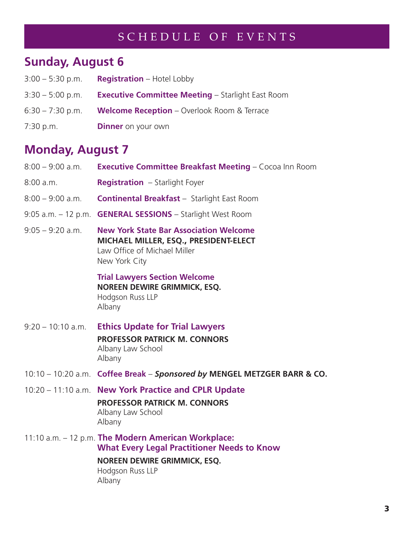### SCHEDULE OF EVENTS

## **Sunday, August 6**

| $3:00 - 5:30$ p.m. | <b>Registration</b> – Hotel Lobby                        |
|--------------------|----------------------------------------------------------|
| $3:30 - 5:00$ p.m. | <b>Executive Committee Meeting - Starlight East Room</b> |
| $6:30 - 7:30$ p.m. | <b>Welcome Reception</b> – Overlook Room & Terrace       |
| 7:30 p.m.          | <b>Dinner</b> on your own                                |

### **Monday, August 7**

| $8:00 - 9:00$ a.m.     | <b>Executive Committee Breakfast Meeting - Cocoa Inn Room</b>                                                                                                                  |  |
|------------------------|--------------------------------------------------------------------------------------------------------------------------------------------------------------------------------|--|
| 8:00 a.m.              | <b>Registration</b> - Starlight Foyer                                                                                                                                          |  |
| $8:00 - 9:00$ a.m.     | <b>Continental Breakfast - Starlight East Room</b>                                                                                                                             |  |
| $9:05$ a.m. $-12$ p.m. | <b>GENERAL SESSIONS</b> - Starlight West Room                                                                                                                                  |  |
| $9:05 - 9:20$ a.m.     | <b>New York State Bar Association Welcome</b><br>MICHAEL MILLER, ESQ., PRESIDENT-ELECT<br>Law Office of Michael Miller<br>New York City                                        |  |
|                        | <b>Trial Lawyers Section Welcome</b><br><b>NOREEN DEWIRE GRIMMICK, ESQ.</b><br>Hodgson Russ LLP<br>Albany                                                                      |  |
| $9:20 - 10:10$ a.m.    | <b>Ethics Update for Trial Lawyers</b><br><b>PROFESSOR PATRICK M. CONNORS</b><br>Albany Law School<br>Albany                                                                   |  |
|                        | 10:10 - 10:20 a.m. Coffee Break - Sponsored by MENGEL METZGER BARR & CO.                                                                                                       |  |
|                        | 10:20 - 11:10 a.m. New York Practice and CPLR Update<br><b>PROFESSOR PATRICK M. CONNORS</b><br>Albany Law School<br>Albany                                                     |  |
|                        | 11:10 a.m. - 12 p.m. The Modern American Workplace:<br><b>What Every Legal Practitioner Needs to Know</b><br><b>NOREEN DEWIRE GRIMMICK, ESQ.</b><br>Hodgson Russ LLP<br>Albany |  |
|                        |                                                                                                                                                                                |  |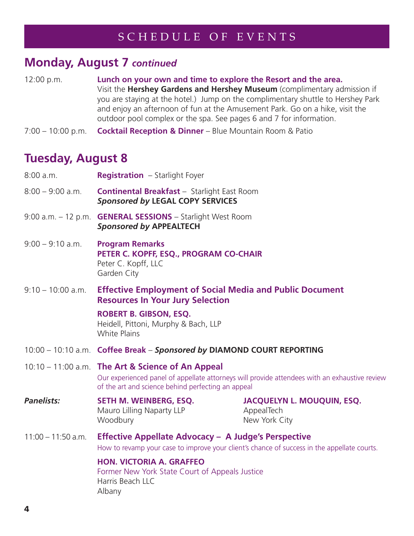### **Monday, August 7** *continued*

- 12:00 p.m. **Lunch on your own and time to explore the Resort and the area.** Visit the **Hershey Gardens and Hershey Museum** (complimentary admission if you are staying at the hotel.) Jump on the complimentary shuttle to Hershey Park and enjoy an afternoon of fun at the Amusement Park. Go on a hike, visit the outdoor pool complex or the spa. See pages 6 and 7 for information.
- 7:00 10:00 p.m. **Cocktail Reception & Dinner**  Blue Mountain Room & Patio

### **Tuesday, August 8**

| 8:00 a.m.            | <b>Registration</b> - Starlight Foyer                                                                                                                                                                    |                                                                  |  |
|----------------------|----------------------------------------------------------------------------------------------------------------------------------------------------------------------------------------------------------|------------------------------------------------------------------|--|
| $8:00 - 9:00$ a.m.   | <b>Continental Breakfast - Starlight East Room</b><br><b>Sponsored by LEGAL COPY SERVICES</b>                                                                                                            |                                                                  |  |
|                      | 9:00 a.m. - 12 p.m. GENERAL SESSIONS - Starlight West Room<br><b>Sponsored by APPEALTECH</b>                                                                                                             |                                                                  |  |
| $9:00 - 9:10$ a.m.   | <b>Program Remarks</b><br>PETER C. KOPFF, ESQ., PROGRAM CO-CHAIR<br>Peter C. Kopff, LLC<br>Garden City                                                                                                   |                                                                  |  |
| $9:10 - 10:00$ a.m.  | <b>Effective Employment of Social Media and Public Document</b><br><b>Resources In Your Jury Selection</b>                                                                                               |                                                                  |  |
|                      | <b>ROBERT B. GIBSON, ESQ.</b><br>Heidell, Pittoni, Murphy & Bach, LLP<br><b>White Plains</b>                                                                                                             |                                                                  |  |
|                      | 10:00 - 10:10 a.m. Coffee Break - Sponsored by DIAMOND COURT REPORTING                                                                                                                                   |                                                                  |  |
|                      | 10:10 - 11:00 a.m. The Art & Science of An Appeal<br>Our experienced panel of appellate attorneys will provide attendees with an exhaustive review<br>of the art and science behind perfecting an appeal |                                                                  |  |
| <b>Panelists:</b>    | SETH M. WEINBERG, ESQ.<br>Mauro Lilling Naparty LLP<br>Woodbury                                                                                                                                          | <b>JACQUELYN L. MOUQUIN, ESQ.</b><br>AppealTech<br>New York City |  |
| $11:00 - 11:50$ a.m. | <b>Effective Appellate Advocacy - A Judge's Perspective</b><br>How to revamp your case to improve your client's chance of success in the appellate courts.                                               |                                                                  |  |
|                      | <b>HON. VICTORIA A. GRAFFEO</b><br>Former New York State Court of Appeals Justice<br>Harris Beach LLC<br>Albany                                                                                          |                                                                  |  |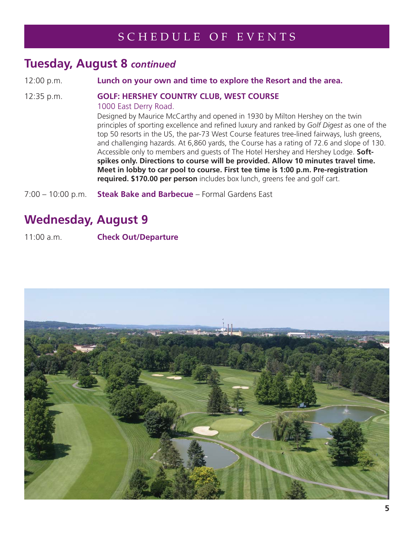### **Tuesday, August 8** *continued*

12:00 p.m. **Lunch on your own and time to explore the Resort and the area.**

#### 12:35 p.m. **GOLF: HERSHEY COUNTRY CLUB, WEST COURSE** 1000 East Derry Road.

Designed by Maurice McCarthy and opened in 1930 by Milton Hershey on the twin principles of sporting excellence and refined luxury and ranked by Golf Digest as one of the top 50 resorts in the US, the par-73 West Course features tree-lined fairways, lush greens, and challenging hazards. At 6,860 yards, the Course has a rating of 72.6 and slope of 130. Accessible only to members and guests of The Hotel Hershey and Hershey Lodge. **Soft spikes only. Directions to course will be provided. Allow 10 minutes travel time. Meet in lobby to car pool to course. First tee time is 1:00 p.m. Pre-registration required. \$170.00 per person** includes box lunch, greens fee and golf cart.

7:00 – 10:00 p.m. **Steak Bake and Barbecue** – Formal Gardens East

### **Wednesday, August 9**

11:00 a.m. **Check Out/Departure**

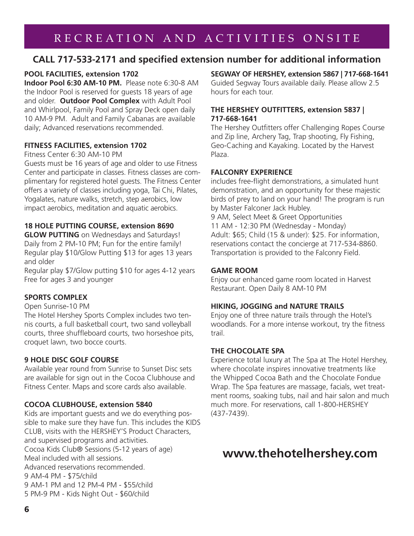### RECREATION AND ACTIVITIES ONSITE

#### **CALL 717-533-2171 and specified extension number for additional information**

#### **POOL FACILITIES, extension 1702**

**Indoor Pool 6:30 AM-10 PM.** Please note 6:30-8 AM the Indoor Pool is reserved for guests 18 years of age and older. **Outdoor Pool Complex** with Adult Pool and Whirlpool, Family Pool and Spray Deck open daily 10 AM-9 PM. Adult and Family Cabanas are available daily; Advanced reservations recommended.

#### **FITNESS FACILITIES, extension 1702**

#### Fitness Center 6:30 AM-10 PM

Guests must be 16 years of age and older to use Fitness Center and participate in classes. Fitness classes are complimentary for registered hotel guests. The Fitness Center offers a variety of classes including yoga, Tai Chi, Pilates, Yogalates, nature walks, stretch, step aerobics, low impact aerobics, meditation and aquatic aerobics.

#### **18 HOLE PUTTING COURSE, extension 8690**

**GLOW PUTTING** on Wednesdays and Saturdays! Daily from 2 PM-10 PM; Fun for the entire family! Regular play \$10/Glow Putting \$13 for ages 13 years and older

Regular play \$7/Glow putting \$10 for ages 4-12 years Free for ages 3 and younger

#### **SPORTS COMPLEX**

#### Open Sunrise-10 PM

The Hotel Hershey Sports Complex includes two tennis courts, a full basketball court, two sand volleyball courts, three shuffleboard courts, two horseshoe pits, croquet lawn, two bocce courts.

#### **9 HOLE DISC GOLF COURSE**

Available year round from Sunrise to Sunset Disc sets are available for sign out in the Cocoa Clubhouse and Fitness Center. Maps and score cards also available.

#### **COCOA CLUBHOUSE, extension 5840**

Kids are important guests and we do everything possible to make sure they have fun. This includes the KIDS CLUB, visits with the HERSHEY'S Product Characters, and supervised programs and activities. Cocoa Kids Club® Sessions (5-12 years of age) Meal included with all sessions. Advanced reservations recommended. 9 AM-4 PM - \$75/child 9 AM-1 PM and 12 PM-4 PM - \$55/child 5 PM-9 PM - Kids Night Out - \$60/child

#### **SEGWAY OF HERSHEY, extension 5867 | 717-668-1641**

Guided Segway Tours available daily. Please allow 2.5 hours for each tour.

#### **THE HERSHEY OUTFITTERS, extension 5837 | 717-668-1641**

The Hershey Outfitters offer Challenging Ropes Course and Zip line, Archery Tag, Trap shooting, Fly Fishing, Geo-Caching and Kayaking. Located by the Harvest Plaza.

#### **FALCONRY EXPERIENCE**

includes free-flight demonstrations, a simulated hunt demonstration, and an opportunity for these majestic birds of prey to land on your hand! The program is run by Master Falconer Jack Hubley.

9 AM, Select Meet & Greet Opportunities 11 AM - 12:30 PM (Wednesday - Monday) Adult: \$65; Child (15 & under): \$25. For information, reservations contact the concierge at 717-534-8860. Transportation is provided to the Falconry Field.

#### **GAME ROOM**

Enjoy our enhanced game room located in Harvest Restaurant. Open Daily 8 AM-10 PM

#### **HIKING, JOGGING and NATURE TRAILS**

Enjoy one of three nature trails through the Hotel's woodlands. For a more intense workout, try the fitness trail.

#### **THE CHOCOLATE SPA**

Experience total luxury at The Spa at The Hotel Hershey, where chocolate inspires innovative treatments like the Whipped Cocoa Bath and the Chocolate Fondue Wrap. The Spa features are massage, facials, wet treatment rooms, soaking tubs, nail and hair salon and much much more. For reservations, call 1-800-HERSHEY (437-7439).

### **www.thehotelhershey.com**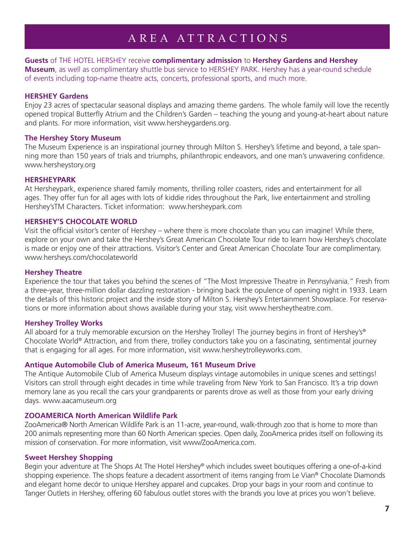### AREA ATTRACTIONS

#### **Guests** of THE HOTEL HERSHEY receive **complimentary admission** to **Hershey Gardens and Hershey Museum**, as well as complimentary shuttle bus service to HERSHEY PARK. Hershey has a year-round schedule of events including top-name theatre acts, concerts, professional sports, and much more.

#### **HERSHEY Gardens**

Enjoy 23 acres of spectacular seasonal displays and amazing theme gardens. The whole family will love the recently opened tropical Butterfly Atrium and the Children's Garden – teaching the young and young-at-heart about nature and plants. For more information, visit www.hersheygardens.org.

#### **The Hershey Story Museum**

The Museum Experience is an inspirational journey through Milton S. Hershey's lifetime and beyond, a tale spanning more than 150 years of trials and triumphs, philanthropic endeavors, and one man's unwavering confidence. www.hersheystory.org

#### **HERSHEYPARK**

At Hersheypark, experience shared family moments, thrilling roller coasters, rides and entertainment for all ages. They offer fun for all ages with lots of kiddie rides throughout the Park, live entertainment and strolling Hershey'sTM Characters. Ticket information: www.hersheypark.com

#### **HERSHEY'S CHOCOLATE WORLD**

Visit the official visitor's center of Hershey – where there is more chocolate than you can imagine! While there, explore on your own and take the Hershey's Great American Chocolate Tour ride to learn how Hershey's chocolate is made or enjoy one of their attractions. Visitor's Center and Great American Chocolate Tour are complimentary. www.hersheys.com/chocolateworld

#### **Hershey Theatre**

Experience the tour that takes you behind the scenes of "The Most Impressive Theatre in Pennsylvania." Fresh from a three-year, three-million dollar dazzling restoration - bringing back the opulence of opening night in 1933. Learn the details of this historic project and the inside story of Milton S. Hershey's Entertainment Showplace. For reservations or more information about shows available during your stay, visit www.hersheytheatre.com.

#### **Hershey Trolley Works**

All aboard for a truly memorable excursion on the Hershey Trolley! The journey begins in front of Hershey's<sup>®</sup> Chocolate World® Attraction, and from there, trolley conductors take you on a fascinating, sentimental journey that is engaging for all ages. For more information, visit www.hersheytrolleyworks.com.

#### **Antique Automobile Club of America Museum, 161 Museum Drive**

The Antique Automobile Club of America Museum displays vintage automobiles in unique scenes and settings! Visitors can stroll through eight decades in time while traveling from New York to San Francisco. It's a trip down memory lane as you recall the cars your grandparents or parents drove as well as those from your early driving days. www.aacamuseum.org

#### **ZOOAMERICA North American Wildlife Park**

ZooAmerica® North American Wildlife Park is an 11-acre, year-round, walk-through zoo that is home to more than 200 animals representing more than 60 North American species. Open daily, ZooAmerica prides itself on following its mission of conservation. For more information, visit www/ZooAmerica.com.

#### **Sweet Hershey Shopping**

Begin your adventure at The Shops At The Hotel Hershey® which includes sweet boutiques offering a one-of-a-kind shopping experience. The shops feature a decadent assortment of items ranging from Le Vian® Chocolate Diamonds and elegant home decór to unique Hershey apparel and cupcakes. Drop your bags in your room and continue to Tanger Outlets in Hershey, offering 60 fabulous outlet stores with the brands you love at prices you won't believe.